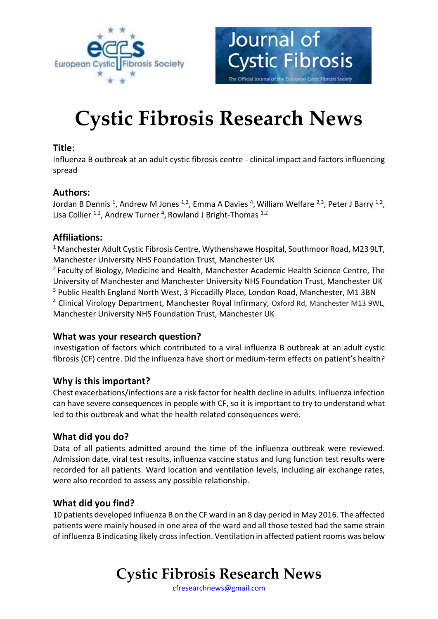



# **Cystic Fibrosis Research News**

#### **Title**:

Influenza B outbreak at an adult cystic fibrosis centre - clinical impact and factors influencing spread

#### **Authors:**

Jordan B Dennis <sup>1</sup>, Andrew M Jones <sup>1,2</sup>, Emma A Davies <sup>4</sup>, William Welfare <sup>2,3</sup>, Peter J Barry <sup>1,2</sup>, Lisa Collier <sup>1,2</sup>, Andrew Turner <sup>4</sup>, Rowland J Bright-Thomas <sup>1,2</sup>

#### **Affiliations:**

<sup>1</sup> Manchester Adult Cystic Fibrosis Centre, Wythenshawe Hospital, Southmoor Road, M23 9LT, Manchester University NHS Foundation Trust, Manchester UK

<sup>2</sup> Faculty of Biology, Medicine and Health, Manchester Academic Health Science Centre, The University of Manchester and Manchester University NHS Foundation Trust, Manchester UK <sup>3</sup> Public Health England North West, 3 Piccadilly Place, London Road, Manchester, M1 3BN <sup>4</sup> Clinical Virology Department, Manchester Royal Infirmary, Oxford Rd, Manchester M13 9WL, Manchester University NHS Foundation Trust, Manchester UK

#### **What was your research question?**

Investigation of factors which contributed to a viral influenza B outbreak at an adult cystic fibrosis (CF) centre. Did the influenza have short or medium-term effects on patient's health?

### **Why is this important?**

Chest exacerbations/infections are a risk factor for health decline in adults. Influenza infection can have severe consequences in people with CF, so it is important to try to understand what led to this outbreak and what the health related consequences were.

### **What did you do?**

Data of all patients admitted around the time of the influenza outbreak were reviewed. Admission date, viral test results, influenza vaccine status and lung function test results were recorded for all patients. Ward location and ventilation levels, including air exchange rates, were also recorded to assess any possible relationship.

#### **What did you find?**

10 patients developed influenza B on the CF ward in an 8 day period in May 2016. The affected patients were mainly housed in one area of the ward and all those tested had the same strain of influenza B indicating likely cross infection. Ventilation in affected patient rooms was below

## **Cystic Fibrosis Research News**

[cfresearchnews@gmail.com](mailto:cfresearchnews@gmail.com)